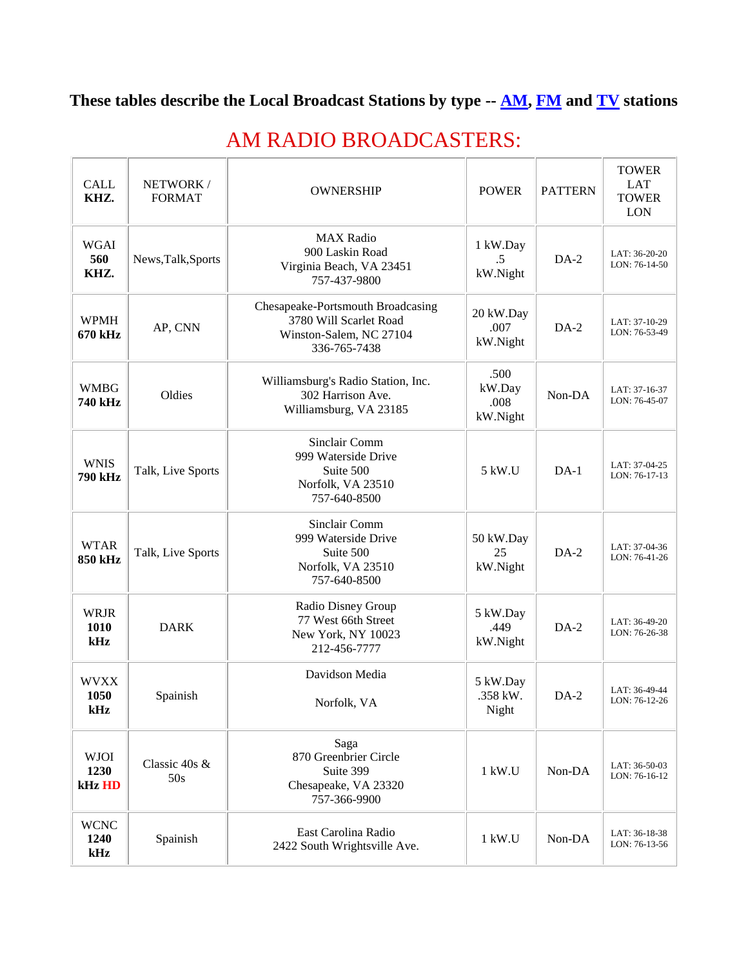## **These tables describe the Local Broadcast Stations by type -- [AM,](http://www.sbe54.org/#am) [FM](http://www.sbe54.org/#fm) and [TV](http://www.sbe54.org/#tv) stations**

| <b>CALL</b><br>KHZ.           | NETWORK/<br><b>FORMAT</b> | <b>OWNERSHIP</b>                                                                                       | <b>POWER</b>                       | <b>PATTERN</b> | <b>TOWER</b><br><b>LAT</b><br><b>TOWER</b><br><b>LON</b> |
|-------------------------------|---------------------------|--------------------------------------------------------------------------------------------------------|------------------------------------|----------------|----------------------------------------------------------|
| <b>WGAI</b><br>560<br>KHZ.    | News, Talk, Sports        | <b>MAX Radio</b><br>900 Laskin Road<br>Virginia Beach, VA 23451<br>757-437-9800                        | 1 kW.Day<br>$.5\,$<br>kW.Night     | $DA-2$         | LAT: 36-20-20<br>LON: 76-14-50                           |
| <b>WPMH</b><br>670 kHz        | AP, CNN                   | Chesapeake-Portsmouth Broadcasing<br>3780 Will Scarlet Road<br>Winston-Salem, NC 27104<br>336-765-7438 | 20 kW.Day<br>.007<br>kW.Night      | $DA-2$         | LAT: 37-10-29<br>LON: 76-53-49                           |
| <b>WMBG</b><br>740 kHz        | Oldies                    | Williamsburg's Radio Station, Inc.<br>302 Harrison Ave.<br>Williamsburg, VA 23185                      | .500<br>kW.Day<br>.008<br>kW.Night | Non-DA         | LAT: 37-16-37<br>LON: 76-45-07                           |
| <b>WNIS</b><br><b>790 kHz</b> | Talk, Live Sports         | Sinclair Comm<br>999 Waterside Drive<br>Suite 500<br>Norfolk, VA 23510<br>757-640-8500                 | 5 kW.U                             | $DA-1$         | LAT: 37-04-25<br>LON: 76-17-13                           |
| <b>WTAR</b><br>850 kHz        | Talk, Live Sports         | Sinclair Comm<br>999 Waterside Drive<br>Suite 500<br>Norfolk, VA 23510<br>757-640-8500                 | 50 kW.Day<br>25<br>kW.Night        | $DA-2$         | LAT: 37-04-36<br>LON: 76-41-26                           |
| <b>WRJR</b><br>1010<br>kHz    | <b>DARK</b>               | Radio Disney Group<br>77 West 66th Street<br>New York, NY 10023<br>212-456-7777                        | 5 kW.Day<br>.449<br>kW.Night       | $DA-2$         | LAT: 36-49-20<br>LON: 76-26-38                           |
| <b>WVXX</b><br>1050<br>kHz    | Spainish                  | Davidson Media<br>Norfolk, VA                                                                          | 5 kW.Day<br>.358 kW.<br>Night      | $DA-2$         | LAT: 36-49-44<br>LON: 76-12-26                           |
| <b>WJOI</b><br>1230<br>kHz HD | Classic 40s &<br>50s      | Saga<br>870 Greenbrier Circle<br>Suite 399<br>Chesapeake, VA 23320<br>757-366-9900                     | 1 kW.U                             | Non-DA         | LAT: 36-50-03<br>LON: 76-16-12                           |
| <b>WCNC</b><br>1240<br>kHz    | Spainish                  | East Carolina Radio<br>2422 South Wrightsville Ave.                                                    | 1 kW.U                             | Non-DA         | LAT: 36-18-38<br>LON: 76-13-56                           |

## AM RADIO BROADCASTERS: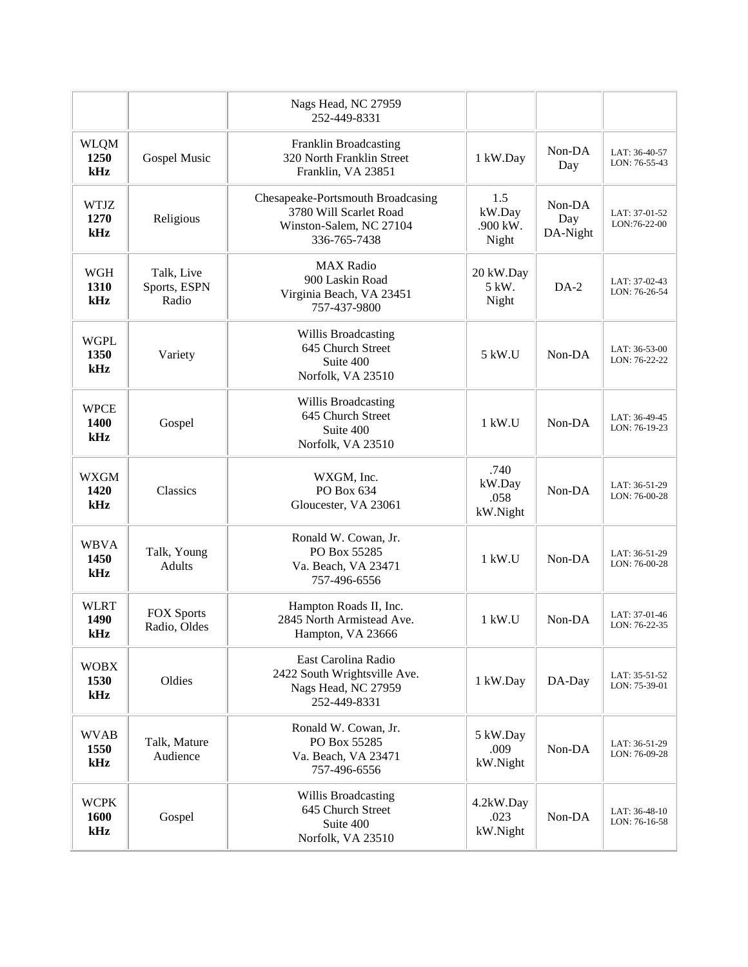|                            |                                     | Nags Head, NC 27959<br>252-449-8331                                                                    |                                    |                           |                                |
|----------------------------|-------------------------------------|--------------------------------------------------------------------------------------------------------|------------------------------------|---------------------------|--------------------------------|
| <b>WLQM</b><br>1250<br>kHz | Gospel Music                        | <b>Franklin Broadcasting</b><br>320 North Franklin Street<br>Franklin, VA 23851                        | 1 kW.Day                           | Non-DA<br>Day             | LAT: 36-40-57<br>LON: 76-55-43 |
| <b>WTJZ</b><br>1270<br>kHz | Religious                           | Chesapeake-Portsmouth Broadcasing<br>3780 Will Scarlet Road<br>Winston-Salem, NC 27104<br>336-765-7438 | 1.5<br>kW.Day<br>.900 kW.<br>Night | Non-DA<br>Day<br>DA-Night | LAT: 37-01-52<br>LON:76-22-00  |
| <b>WGH</b><br>1310<br>kHz  | Talk, Live<br>Sports, ESPN<br>Radio | <b>MAX Radio</b><br>900 Laskin Road<br>Virginia Beach, VA 23451<br>757-437-9800                        | 20 kW.Day<br>5 kW.<br>Night        | $DA-2$                    | LAT: 37-02-43<br>LON: 76-26-54 |
| <b>WGPL</b><br>1350<br>kHz | Variety                             | Willis Broadcasting<br>645 Church Street<br>Suite 400<br>Norfolk, VA 23510                             | 5 kW.U                             | Non-DA                    | LAT: 36-53-00<br>LON: 76-22-22 |
| <b>WPCE</b><br>1400<br>kHz | Gospel                              | Willis Broadcasting<br>645 Church Street<br>Suite 400<br>Norfolk, VA 23510                             | 1 kW.U                             | Non-DA                    | LAT: 36-49-45<br>LON: 76-19-23 |
| <b>WXGM</b><br>1420<br>kHz | Classics                            | WXGM, Inc.<br>PO Box 634<br>Gloucester, VA 23061                                                       | .740<br>kW.Day<br>.058<br>kW.Night | Non-DA                    | LAT: 36-51-29<br>LON: 76-00-28 |
| <b>WBVA</b><br>1450<br>kHz | Talk, Young<br><b>Adults</b>        | Ronald W. Cowan, Jr.<br>PO Box 55285<br>Va. Beach, VA 23471<br>757-496-6556                            | 1 kW.U                             | Non-DA                    | LAT: 36-51-29<br>LON: 76-00-28 |
| <b>WLRT</b><br>1490<br>kHz | <b>FOX Sports</b><br>Radio, Oldes   | Hampton Roads II, Inc.<br>2845 North Armistead Ave.<br>Hampton, VA 23666                               | $1$ kW.U                           | Non-DA                    | LAT: 37-01-46<br>LON: 76-22-35 |
| <b>WOBX</b><br>1530<br>kHz | Oldies                              | East Carolina Radio<br>2422 South Wrightsville Ave.<br>Nags Head, NC 27959<br>252-449-8331             | 1 kW.Day                           | DA-Day                    | LAT: 35-51-52<br>LON: 75-39-01 |
| <b>WVAB</b><br>1550<br>kHz | Talk, Mature<br>Audience            | Ronald W. Cowan, Jr.<br>PO Box 55285<br>Va. Beach, VA 23471<br>757-496-6556                            | 5 kW.Day<br>.009<br>kW.Night       | Non-DA                    | LAT: 36-51-29<br>LON: 76-09-28 |
| <b>WCPK</b><br>1600<br>kHz | Gospel                              | Willis Broadcasting<br>645 Church Street<br>Suite 400<br>Norfolk, VA 23510                             | 4.2kW.Day<br>.023<br>kW.Night      | Non-DA                    | LAT: 36-48-10<br>LON: 76-16-58 |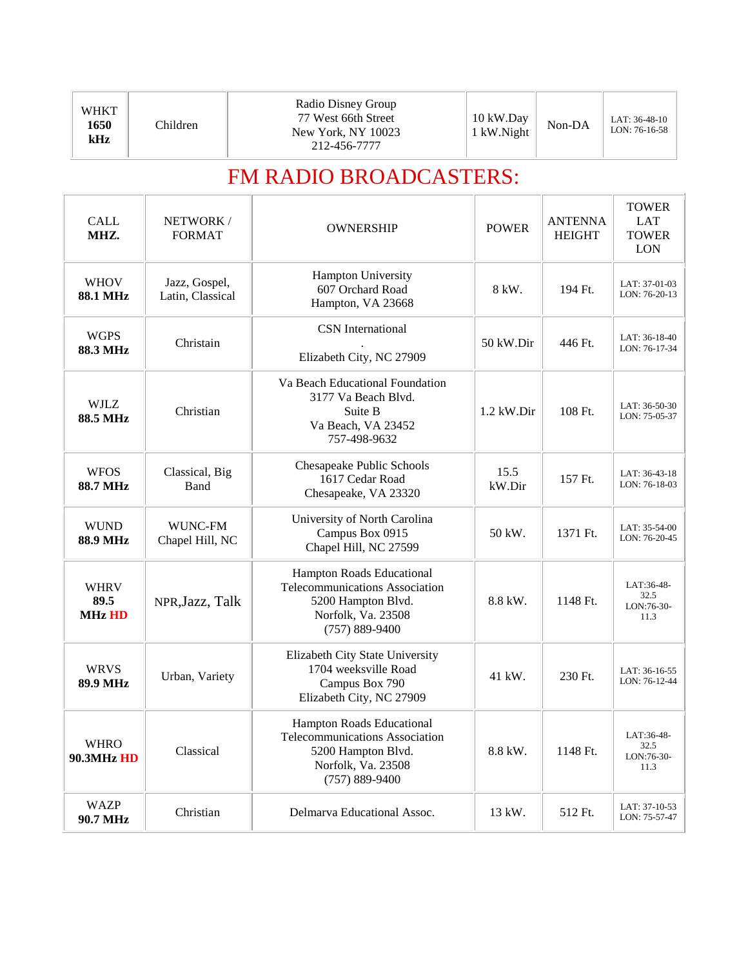## FM RADIO BROADCASTERS:

| <b>CALL</b><br>MHZ.                  | NETWORK/<br><b>FORMAT</b>         | <b>OWNERSHIP</b>                                                                                                                     | <b>POWER</b>   | <b>ANTENNA</b><br><b>HEIGHT</b> | <b>TOWER</b><br><b>LAT</b><br><b>TOWER</b><br><b>LON</b> |
|--------------------------------------|-----------------------------------|--------------------------------------------------------------------------------------------------------------------------------------|----------------|---------------------------------|----------------------------------------------------------|
| <b>WHOV</b><br><b>88.1 MHz</b>       | Jazz, Gospel,<br>Latin, Classical | Hampton University<br>607 Orchard Road<br>Hampton, VA 23668                                                                          | 8 kW.          | 194 Ft.                         | LAT: 37-01-03<br>LON: 76-20-13                           |
| <b>WGPS</b><br>88.3 MHz              | Christain                         | <b>CSN</b> International<br>Elizabeth City, NC 27909                                                                                 | 50 kW.Dir      | 446 Ft.                         | LAT: 36-18-40<br>LON: 76-17-34                           |
| <b>WJLZ</b><br>88.5 MHz              | Christian                         | Va Beach Educational Foundation<br>3177 Va Beach Blyd.<br>Suite B<br>Va Beach, VA 23452<br>757-498-9632                              | $1.2$ kW.Dir   | 108 Ft.                         | LAT: 36-50-30<br>LON: 75-05-37                           |
| <b>WFOS</b><br><b>88.7 MHz</b>       | Classical, Big<br>Band            | Chesapeake Public Schools<br>1617 Cedar Road<br>Chesapeake, VA 23320                                                                 | 15.5<br>kW.Dir | 157 Ft.                         | LAT: 36-43-18<br>LON: 76-18-03                           |
| <b>WUND</b><br><b>88.9 MHz</b>       | <b>WUNC-FM</b><br>Chapel Hill, NC | University of North Carolina<br>Campus Box 0915<br>Chapel Hill, NC 27599                                                             | 50 kW.         | 1371 Ft.                        | LAT: 35-54-00<br>LON: 76-20-45                           |
| <b>WHRV</b><br>89.5<br><b>MHz HD</b> | NPR, Jazz, Talk                   | Hampton Roads Educational<br><b>Telecommunications Association</b><br>5200 Hampton Blvd.<br>Norfolk, Va. 23508<br>$(757) 889 - 9400$ | 8.8 kW.        | 1148 Ft.                        | LAT:36-48-<br>32.5<br>LON:76-30-<br>11.3                 |
| <b>WRVS</b><br>89.9 MHz              | Urban, Variety                    | Elizabeth City State University<br>1704 weeksville Road<br>Campus Box 790<br>Elizabeth City, NC 27909                                | 41 kW.         | 230 Ft.                         | LAT: 36-16-55<br>LON: 76-12-44                           |
| <b>WHRO</b><br><b>90.3MHz HD</b>     | Classical                         | Hampton Roads Educational<br>Telecommunications Association<br>5200 Hampton Blvd.<br>Norfolk, Va. 23508<br>$(757) 889 - 9400$        | 8.8 kW.        | 1148 Ft.                        | LAT:36-48-<br>32.5<br>LON:76-30-<br>11.3                 |
| <b>WAZP</b><br>90.7 MHz              | Christian                         | Delmarva Educational Assoc.                                                                                                          | $13$ kW.       | 512 Ft.                         | LAT: 37-10-53<br>LON: 75-57-47                           |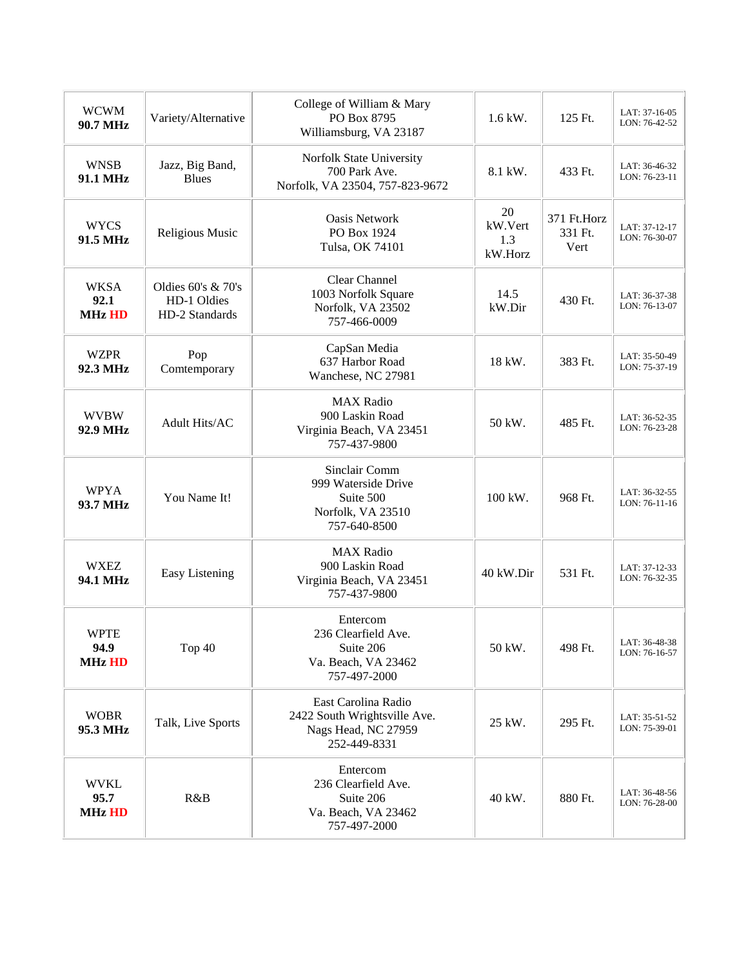| <b>WCWM</b><br>90.7 MHz                                                                        | Variety/Alternative             | College of William & Mary<br>PO Box 8795<br>Williamsburg, VA 23187                         | $1.6$ kW.                       | 125 Ft.                        | LAT: 37-16-05<br>LON: 76-42-52 |
|------------------------------------------------------------------------------------------------|---------------------------------|--------------------------------------------------------------------------------------------|---------------------------------|--------------------------------|--------------------------------|
| <b>WNSB</b><br>91.1 MHz                                                                        | Jazz, Big Band,<br><b>Blues</b> | Norfolk State University<br>700 Park Ave.<br>Norfolk, VA 23504, 757-823-9672               | 8.1 kW.                         | 433 Ft.                        | LAT: 36-46-32<br>LON: 76-23-11 |
| <b>WYCS</b><br>91.5 MHz                                                                        | Religious Music                 | Oasis Network<br>PO Box 1924<br>Tulsa, OK 74101                                            | 20<br>kW.Vert<br>1.3<br>kW.Horz | 371 Ft.Horz<br>331 Ft.<br>Vert | LAT: 37-12-17<br>LON: 76-30-07 |
| <b>WKSA</b><br>Oldies $60's \& 70's$<br>92.1<br>HD-1 Oldies<br><b>MHz HD</b><br>HD-2 Standards |                                 | Clear Channel<br>1003 Norfolk Square<br>Norfolk, VA 23502<br>757-466-0009                  | 14.5<br>kW.Dir                  | 430 Ft.                        | LAT: 36-37-38<br>LON: 76-13-07 |
| <b>WZPR</b><br>92.3 MHz                                                                        | Pop<br>Comtemporary             | CapSan Media<br>637 Harbor Road<br>Wanchese, NC 27981                                      | 18 kW.                          | 383 Ft.                        | LAT: 35-50-49<br>LON: 75-37-19 |
| <b>WVBW</b><br>92.9 MHz                                                                        | Adult Hits/AC                   | <b>MAX Radio</b><br>900 Laskin Road<br>Virginia Beach, VA 23451<br>757-437-9800            | 50 kW.                          | 485 Ft.                        | LAT: 36-52-35<br>LON: 76-23-28 |
| <b>WPYA</b><br>93.7 MHz                                                                        | You Name It!                    | Sinclair Comm<br>999 Waterside Drive<br>Suite 500<br>Norfolk, VA 23510<br>757-640-8500     | 100 kW.                         | 968 Ft.                        | LAT: 36-32-55<br>LON: 76-11-16 |
| <b>WXEZ</b><br>94.1 MHz                                                                        | Easy Listening                  | <b>MAX</b> Radio<br>900 Laskin Road<br>Virginia Beach, VA 23451<br>757-437-9800            | 40 kW.Dir                       | 531 Ft.                        | LAT: 37-12-33<br>LON: 76-32-35 |
| <b>WPTE</b><br>94.9<br><b>MHz HD</b>                                                           | Top 40                          | Entercom<br>236 Clearfield Ave.<br>Suite 206<br>Va. Beach, VA 23462<br>757-497-2000        | 50 kW.                          | 498 Ft.                        | LAT: 36-48-38<br>LON: 76-16-57 |
| <b>WOBR</b><br>95.3 MHz                                                                        | Talk, Live Sports               | East Carolina Radio<br>2422 South Wrightsville Ave.<br>Nags Head, NC 27959<br>252-449-8331 | 25 kW.                          | 295 Ft.                        | LAT: 35-51-52<br>LON: 75-39-01 |
| <b>WVKL</b><br>95.7<br><b>MHz HD</b>                                                           | R&B                             | Entercom<br>236 Clearfield Ave.<br>Suite 206<br>Va. Beach, VA 23462<br>757-497-2000        | 40 kW.                          | 880 Ft.                        | LAT: 36-48-56<br>LON: 76-28-00 |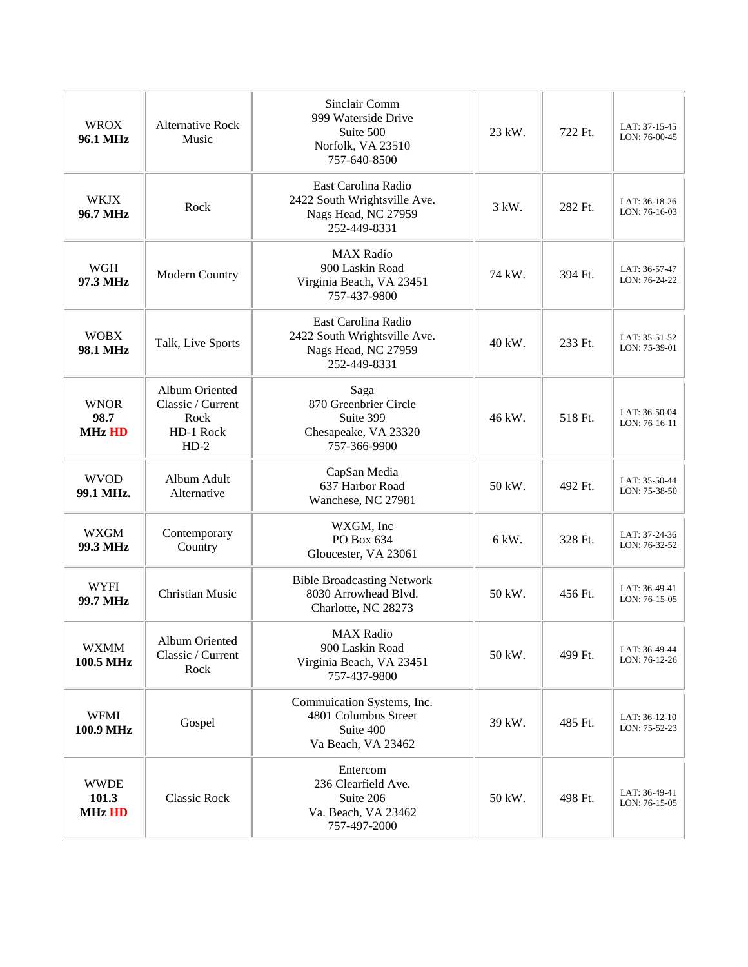| <b>WROX</b><br>96.1 MHz                      | <b>Alternative Rock</b><br>Music                                   | Sinclair Comm<br>999 Waterside Drive<br>Suite 500<br>Norfolk, VA 23510<br>757-640-8500     | 23 kW. | 722 Ft. | LAT: 37-15-45<br>LON: 76-00-45 |
|----------------------------------------------|--------------------------------------------------------------------|--------------------------------------------------------------------------------------------|--------|---------|--------------------------------|
| <b>WKJX</b><br>96.7 MHz                      | Rock                                                               | East Carolina Radio<br>2422 South Wrightsville Ave.<br>Nags Head, NC 27959<br>252-449-8331 | 3 kW.  | 282 Ft. | LAT: 36-18-26<br>LON: 76-16-03 |
| <b>WGH</b><br>97.3 MHz                       | Modern Country                                                     | <b>MAX</b> Radio<br>900 Laskin Road<br>Virginia Beach, VA 23451<br>757-437-9800            | 74 kW. | 394 Ft. | LAT: 36-57-47<br>LON: 76-24-22 |
| <b>WOBX</b><br>Talk, Live Sports<br>98.1 MHz |                                                                    | East Carolina Radio<br>2422 South Wrightsville Ave.<br>Nags Head, NC 27959<br>252-449-8331 | 40 kW. | 233 Ft. | LAT: 35-51-52<br>LON: 75-39-01 |
| <b>WNOR</b><br>98.7<br><b>MHz HD</b>         | Album Oriented<br>Classic / Current<br>Rock<br>HD-1 Rock<br>$HD-2$ | Saga<br>870 Greenbrier Circle<br>Suite 399<br>Chesapeake, VA 23320<br>757-366-9900         | 46 kW. | 518 Ft. | LAT: 36-50-04<br>LON: 76-16-11 |
| <b>WVOD</b><br>99.1 MHz.                     | Album Adult<br>Alternative                                         | CapSan Media<br>637 Harbor Road<br>Wanchese, NC 27981                                      | 50 kW. | 492 Ft. | LAT: 35-50-44<br>LON: 75-38-50 |
| <b>WXGM</b><br>99.3 MHz                      | Contemporary<br>Country                                            | WXGM, Inc<br>PO Box 634<br>Gloucester, VA 23061                                            | 6 kW.  | 328 Ft. | LAT: 37-24-36<br>LON: 76-32-52 |
| <b>WYFI</b><br>99.7 MHz                      | <b>Christian Music</b>                                             | <b>Bible Broadcasting Network</b><br>8030 Arrowhead Blvd.<br>Charlotte, NC 28273           | 50 kW. | 456 Ft. | LAT: 36-49-41<br>LON: 76-15-05 |
| <b>WXMM</b><br>100.5 MHz                     | Album Oriented<br>Classic / Current<br>Rock                        | <b>MAX</b> Radio<br>900 Laskin Road<br>Virginia Beach, VA 23451<br>757-437-9800            | 50 kW. | 499 Ft. | LAT: 36-49-44<br>LON: 76-12-26 |
| <b>WFMI</b><br>100.9 MHz                     | Gospel                                                             | Commuication Systems, Inc.<br>4801 Columbus Street<br>Suite 400<br>Va Beach, VA 23462      | 39 kW. | 485 Ft. | LAT: 36-12-10<br>LON: 75-52-23 |
| <b>WWDE</b><br>101.3<br><b>MHz HD</b>        | <b>Classic Rock</b>                                                | Entercom<br>236 Clearfield Ave.<br>Suite 206<br>Va. Beach, VA 23462<br>757-497-2000        | 50 kW. | 498 Ft. | LAT: 36-49-41<br>LON: 76-15-05 |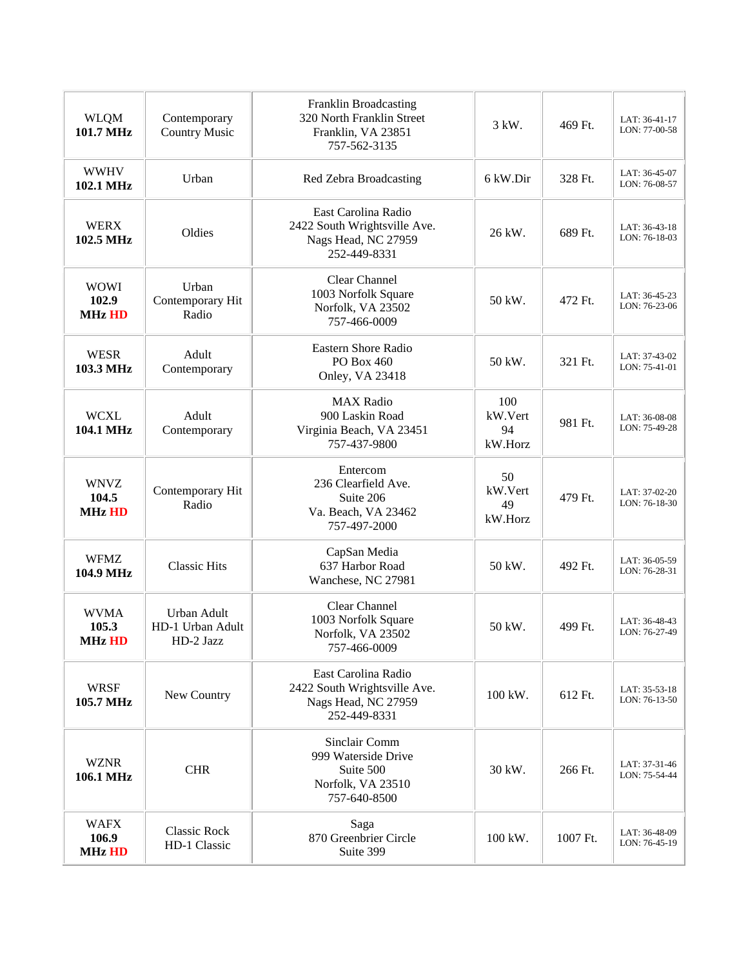| <b>WLQM</b><br>101.7 MHz                                                    | Contemporary<br><b>Country Music</b>         | Franklin Broadcasting<br>320 North Franklin Street<br>Franklin, VA 23851<br>757-562-3135   | 3 kW.                           | 469 Ft.  | LAT: 36-41-17<br>LON: 77-00-58 |
|-----------------------------------------------------------------------------|----------------------------------------------|--------------------------------------------------------------------------------------------|---------------------------------|----------|--------------------------------|
| <b>WWHV</b><br>102.1 MHz                                                    | Urban                                        | Red Zebra Broadcasting                                                                     | 6 kW.Dir                        | 328 Ft.  | LAT: 36-45-07<br>LON: 76-08-57 |
| <b>WERX</b><br>Oldies<br>102.5 MHz                                          |                                              | East Carolina Radio<br>2422 South Wrightsville Ave.<br>Nags Head, NC 27959<br>252-449-8331 | 26 kW.                          | 689 Ft.  | LAT: 36-43-18<br>LON: 76-18-03 |
| <b>WOWI</b><br>Urban<br>102.9<br>Contemporary Hit<br><b>MHz HD</b><br>Radio |                                              | Clear Channel<br>1003 Norfolk Square<br>Norfolk, VA 23502<br>757-466-0009                  | 50 kW.                          | 472 Ft.  | LAT: 36-45-23<br>LON: 76-23-06 |
| <b>WESR</b><br>103.3 MHz                                                    | Adult<br>Contemporary                        | Eastern Shore Radio<br>PO Box 460<br>Onley, VA 23418                                       | 50 kW.                          | 321 Ft.  | LAT: 37-43-02<br>LON: 75-41-01 |
| <b>WCXL</b><br>104.1 MHz                                                    | Adult<br>Contemporary                        | <b>MAX Radio</b><br>900 Laskin Road<br>Virginia Beach, VA 23451<br>757-437-9800            | 100<br>kW.Vert<br>94<br>kW.Horz | 981 Ft.  | LAT: 36-08-08<br>LON: 75-49-28 |
| <b>WNVZ</b><br>104.5<br><b>MHz HD</b>                                       | Contemporary Hit<br>Radio                    | Entercom<br>236 Clearfield Ave.<br>Suite 206<br>Va. Beach, VA 23462<br>757-497-2000        | 50<br>kW.Vert<br>49<br>kW.Horz  | 479 Ft.  | LAT: 37-02-20<br>LON: 76-18-30 |
| <b>WFMZ</b><br>104.9 MHz                                                    | <b>Classic Hits</b>                          | CapSan Media<br>637 Harbor Road<br>Wanchese, NC 27981                                      | 50 kW.                          | 492 Ft.  | LAT: 36-05-59<br>LON: 76-28-31 |
| <b>WVMA</b><br>105.3<br>MHz HD                                              | Urban Adult<br>HD-1 Urban Adult<br>HD-2 Jazz | <b>Clear Channel</b><br>1003 Norfolk Square<br>Norfolk, VA 23502<br>757-466-0009           | 50 kW.                          | 499 Ft.  | LAT: 36-48-43<br>LON: 76-27-49 |
| <b>WRSF</b><br>105.7 MHz                                                    | New Country                                  | East Carolina Radio<br>2422 South Wrightsville Ave.<br>Nags Head, NC 27959<br>252-449-8331 | 100 kW.                         | 612 Ft.  | LAT: 35-53-18<br>LON: 76-13-50 |
| <b>WZNR</b><br>106.1 MHz                                                    | <b>CHR</b>                                   | Sinclair Comm<br>999 Waterside Drive<br>Suite 500<br>Norfolk, VA 23510<br>757-640-8500     | 30 kW.                          | 266 Ft.  | LAT: 37-31-46<br>LON: 75-54-44 |
| <b>WAFX</b><br>106.9<br><b>MHz HD</b>                                       | <b>Classic Rock</b><br>HD-1 Classic          | Saga<br>870 Greenbrier Circle<br>Suite 399                                                 | 100 kW.                         | 1007 Ft. | LAT: 36-48-09<br>LON: 76-45-19 |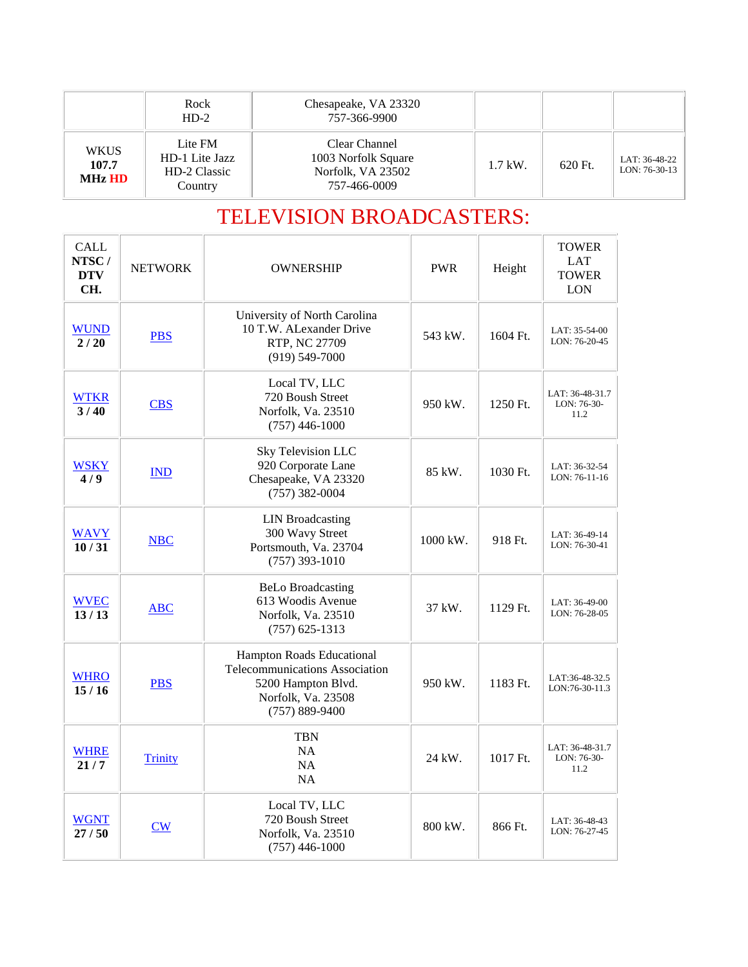|                                | Rock<br>$HD-2$                                       | Chesapeake, VA 23320<br>757-366-9900                                      |           |         |                                  |
|--------------------------------|------------------------------------------------------|---------------------------------------------------------------------------|-----------|---------|----------------------------------|
| <b>WKUS</b><br>107.7<br>MHz HD | Lite FM<br>HD-1 Lite Jazz<br>HD-2 Classic<br>Country | Clear Channel<br>1003 Norfolk Square<br>Norfolk, VA 23502<br>757-466-0009 | $1.7$ kW. | 620 Ft. | LAT: 36-48-22<br>$LON: 76-30-13$ |

## TELEVISION BROADCASTERS:

| <b>CALL</b><br>NTSC/<br><b>DTV</b><br>CH. | <b>NETWORK</b>     | <b>OWNERSHIP</b>                                                                                                              | <b>PWR</b>          | Height   | <b>TOWER</b><br>LAT<br><b>TOWER</b><br><b>LON</b> |
|-------------------------------------------|--------------------|-------------------------------------------------------------------------------------------------------------------------------|---------------------|----------|---------------------------------------------------|
| <b>WUND</b><br>2/20                       | <b>PBS</b>         | University of North Carolina<br>10 T.W. ALexander Drive<br>RTP, NC 27709<br>$(919) 549 - 7000$                                | 543 kW.             | 1604 Ft. | LAT: 35-54-00<br>LON: 76-20-45                    |
| <b>WTKR</b><br>3/40                       | <b>CBS</b>         | Local TV, LLC<br>720 Boush Street<br>Norfolk, Va. 23510<br>$(757)$ 446-1000                                                   | 950 kW.             | 1250 Ft. | LAT: 36-48-31.7<br>LON: 76-30-<br>11.2            |
| <b>WSKY</b><br>4/9                        | <b>IND</b>         | Sky Television LLC<br>920 Corporate Lane<br>Chesapeake, VA 23320<br>$(757)$ 382-0004                                          | 85 kW.              | 1030 Ft. | LAT: 36-32-54<br>LON: 76-11-16                    |
| <b>WAVY</b><br>10/31                      | <b>NBC</b>         | <b>LIN</b> Broadcasting<br>300 Wavy Street<br>Portsmouth, Va. 23704<br>$(757)$ 393-1010                                       | $1000 \text{ kW}$ . | 918 Ft.  | LAT: 36-49-14<br>LON: 76-30-41                    |
| <b>WVEC</b><br>13/13                      | <b>ABC</b>         | <b>BeLo Broadcasting</b><br>613 Woodis Avenue<br>Norfolk, Va. 23510<br>$(757)$ 625-1313                                       | 37 kW.              | 1129 Ft. | LAT: 36-49-00<br>LON: 76-28-05                    |
| <b>WHRO</b><br>15/16                      | <b>PBS</b>         | Hampton Roads Educational<br>Telecommunications Association<br>5200 Hampton Blvd.<br>Norfolk, Va. 23508<br>$(757) 889 - 9400$ | 950 kW.             | 1183 Ft. | LAT:36-48-32.5<br>LON:76-30-11.3                  |
| <b>WHRE</b><br>21/7                       | <b>Trinity</b>     | <b>TBN</b><br><b>NA</b><br>NA<br>NA                                                                                           | 24 kW.              | 1017 Ft. | LAT: 36-48-31.7<br>LON: 76-30-<br>11.2            |
| <b>WGNT</b><br>27/50                      | $\sqrt{\text{CW}}$ | Local TV, LLC<br>720 Boush Street<br>Norfolk, Va. 23510<br>$(757)$ 446-1000                                                   | 800 kW.             | 866 Ft.  | LAT: 36-48-43<br>LON: 76-27-45                    |